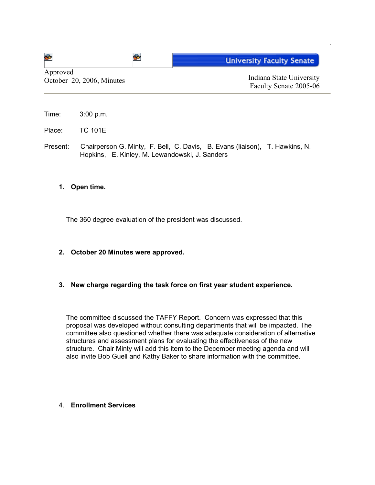| ₩                                     | <b>University Faculty Senate</b>                   |
|---------------------------------------|----------------------------------------------------|
| Approved<br>October 20, 2006, Minutes | Indiana State University<br>Faculty Senate 2005-06 |

Time: 3:00 p.m.

Place: TC 101E

Present: Chairperson G. Minty, F. Bell, C. Davis, B. Evans (liaison), T. Hawkins, N. Hopkins, E. Kinley, M. Lewandowski, J. Sanders

## **1. Open time.**

The 360 degree evaluation of the president was discussed.

- **2. October 20 Minutes were approved.**
- **3. New charge regarding the task force on first year student experience.**

The committee discussed the TAFFY Report. Concern was expressed that this proposal was developed without consulting departments that will be impacted. The committee also questioned whether there was adequate consideration of alternative structures and assessment plans for evaluating the effectiveness of the new structure. Chair Minty will add this item to the December meeting agenda and will also invite Bob Guell and Kathy Baker to share information with the committee.

## 4. **Enrollment Services**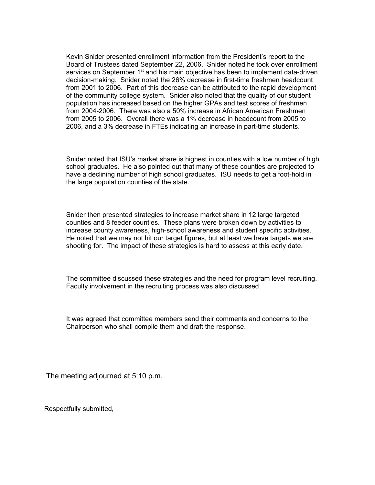Kevin Snider presented enrollment information from the President's report to the Board of Trustees dated September 22, 2006. Snider noted he took over enrollment services on September 1<sup>st</sup> and his main objective has been to implement data-driven decision-making. Snider noted the 26% decrease in first-time freshmen headcount from 2001 to 2006. Part of this decrease can be attributed to the rapid development of the community college system. Snider also noted that the quality of our student population has increased based on the higher GPAs and test scores of freshmen from 2004-2006. There was also a 50% increase in African American Freshmen from 2005 to 2006. Overall there was a 1% decrease in headcount from 2005 to 2006, and a 3% decrease in FTEs indicating an increase in part-time students.

Snider noted that ISU's market share is highest in counties with a low number of high school graduates. He also pointed out that many of these counties are projected to have a declining number of high school graduates. ISU needs to get a foot-hold in the large population counties of the state.

Snider then presented strategies to increase market share in 12 large targeted counties and 8 feeder counties. These plans were broken down by activities to increase county awareness, high-school awareness and student specific activities. He noted that we may not hit our target figures, but at least we have targets we are shooting for. The impact of these strategies is hard to assess at this early date.

The committee discussed these strategies and the need for program level recruiting. Faculty involvement in the recruiting process was also discussed.

It was agreed that committee members send their comments and concerns to the Chairperson who shall compile them and draft the response.

The meeting adjourned at 5:10 p.m.

Respectfully submitted,